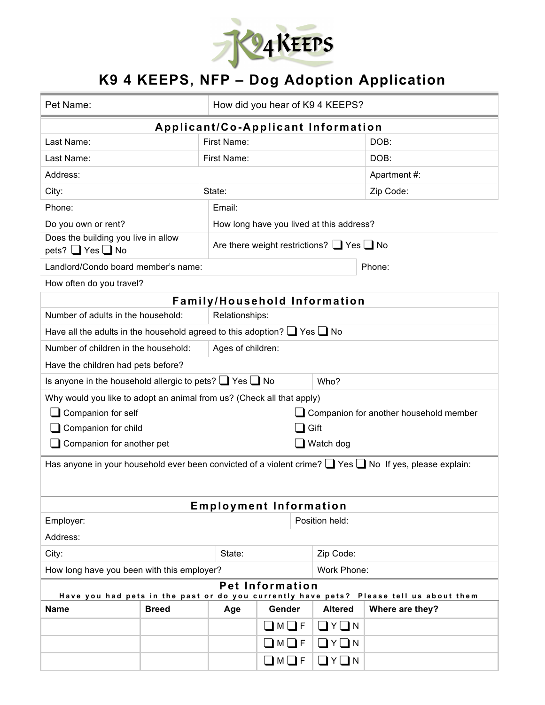

## **K9 4 KEEPS, NFP – Dog Adoption Application**

| Pet Name:                                                                                                         |                                                     |                                          | How did you hear of K9 4 KEEPS?     |                       |                 |  |
|-------------------------------------------------------------------------------------------------------------------|-----------------------------------------------------|------------------------------------------|-------------------------------------|-----------------------|-----------------|--|
| Applicant/Co-Applicant Information                                                                                |                                                     |                                          |                                     |                       |                 |  |
| Last Name:                                                                                                        |                                                     | First Name:                              |                                     |                       | DOB:            |  |
| Last Name:                                                                                                        |                                                     | First Name:                              |                                     |                       | DOB:            |  |
| Address:                                                                                                          |                                                     |                                          |                                     | Apartment #:          |                 |  |
| City:                                                                                                             |                                                     | State:                                   |                                     |                       | Zip Code:       |  |
| Phone:                                                                                                            |                                                     | Email:                                   |                                     |                       |                 |  |
| Do you own or rent?                                                                                               |                                                     | How long have you lived at this address? |                                     |                       |                 |  |
| Does the building you live in allow<br>pets? $\Box$ Yes $\Box$ No                                                 | Are there weight restrictions? $\Box$ Yes $\Box$ No |                                          |                                     |                       |                 |  |
| Landlord/Condo board member's name:                                                                               |                                                     |                                          |                                     |                       | Phone:          |  |
| How often do you travel?                                                                                          |                                                     |                                          |                                     |                       |                 |  |
|                                                                                                                   |                                                     |                                          | <b>Family/Household Information</b> |                       |                 |  |
| Number of adults in the household:<br>Relationships:                                                              |                                                     |                                          |                                     |                       |                 |  |
| Have all the adults in the household agreed to this adoption? $\Box$ Yes $\Box$ No                                |                                                     |                                          |                                     |                       |                 |  |
| Number of children in the household:                                                                              |                                                     | Ages of children:                        |                                     |                       |                 |  |
| Have the children had pets before?                                                                                |                                                     |                                          |                                     |                       |                 |  |
| Is anyone in the household allergic to pets? $\Box$ Yes $\Box$ No                                                 |                                                     |                                          |                                     | Who?                  |                 |  |
| Why would you like to adopt an animal from us? (Check all that apply)                                             |                                                     |                                          |                                     |                       |                 |  |
| Companion for self<br>Companion for another household member                                                      |                                                     |                                          |                                     |                       |                 |  |
| Gift<br>Companion for child                                                                                       |                                                     |                                          |                                     |                       |                 |  |
| Companion for another pet<br>Watch dog                                                                            |                                                     |                                          |                                     |                       |                 |  |
| Has anyone in your household ever been convicted of a violent crime? $\Box$ Yes $\Box$ No If yes, please explain: |                                                     |                                          |                                     |                       |                 |  |
| <b>Employment Information</b>                                                                                     |                                                     |                                          |                                     |                       |                 |  |
| Employer:<br>Position held:                                                                                       |                                                     |                                          |                                     |                       |                 |  |
| Address:                                                                                                          |                                                     |                                          |                                     |                       |                 |  |
| City:<br>State:                                                                                                   |                                                     |                                          |                                     | Zip Code:             |                 |  |
| How long have you been with this employer?                                                                        |                                                     |                                          | Work Phone:                         |                       |                 |  |
| <b>Pet Information</b><br>Have you had pets in the past or do you currently have pets? Please tell us about them  |                                                     |                                          |                                     |                       |                 |  |
| <b>Name</b>                                                                                                       | <b>Breed</b>                                        | Age                                      | Gender                              | <b>Altered</b>        | Where are they? |  |
|                                                                                                                   |                                                     |                                          | $\Box$ M $\Box$ F                   | $\Box$ $Y$ $\Box$ $N$ |                 |  |
|                                                                                                                   |                                                     |                                          | $\Box$ M $\Box$ F                   | $\Box$ $Y$ $\Box$ $N$ |                 |  |
|                                                                                                                   |                                                     |                                          | $\bigsqcup$ M $\bigsqcup$ F         | コ∨□µ                  |                 |  |